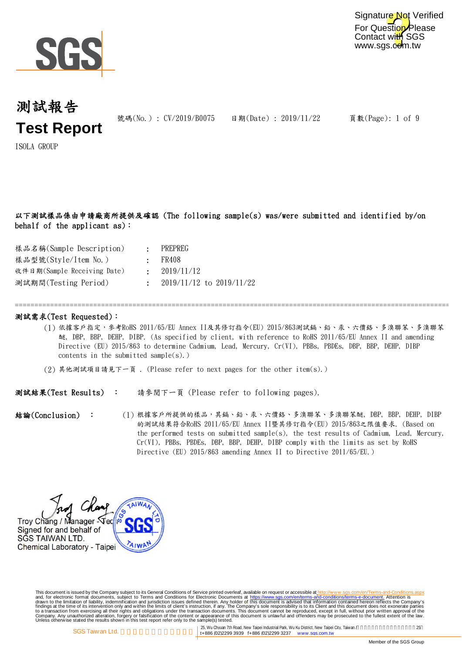

For Question Please Contact with SGS www.sgs.com.tw Signature Not Verified

## 測試報告 **Test Report**

號碼(No.): CV/2019/B0075 日期(Date): 2019/11/22

頁數(Page): 1 of 9

ISOLA GROUP

以下測試樣品係由申請廠商所提供及確認 (The following sample(s) was/were submitted and identified by/on behalf of the applicant as):

| 樣品名稱(Sample Description)    | PREPREG                        |
|-----------------------------|--------------------------------|
| 樣品型號(Style/Item No.)        | : FR408                        |
| 收件日期(Sample Receiving Date) | : 2019/11/12                   |
| 測試期間(Testing Period)        | $\pm$ 2019/11/12 to 2019/11/22 |

### 測試需求(Test Requested):

(1) 依據客戶指定,參考RoHS 2011/65/EU Annex II及其修訂指令(EU) 2015/863測試鎘、鉛、汞、六價鉻、多溴聯苯、多溴聯苯 醚, DBP, BBP, DEHP, DIBP. (As specified by client, with reference to RoHS 2011/65/EU Annex II and amending Directive (EU) 2015/863 to determine Cadmium, Lead, Mercury, Cr(VI), PBBs, PBDEs, DBP, BBP, DEHP, DIBP contents in the submitted sample $(s)$ .)

=============================================================================================================================

(2) 其他測試項目請見下一頁 . (Please refer to next pages for the other item(s).)

測試結果(Test Results) : 請參閱下一頁 (Please refer to following pages).

(1) 根據客戶所提供的樣品,其鎬、鉛、汞、六價鉻、多溴聯苯、多溴聯苯醚, DBP, BBP, DEHP, DIBP 的測試結果符合RoHS 2011/65/EU Annex II暨其修訂指令(EU) 2015/863之限值要求. (Based on the performed tests on submitted sample(s), the test results of Cadmium, Lead, Mercury, Cr(VI), PBBs, PBDEs, DBP, BBP, DEHP, DIBP comply with the limits as set by RoHS Directive (EU) 2015/863 amending Annex II to Directive 2011/65/EU.) 結論(Conclusion) :

Troy Chang / Manager Sec Signed for and behalf of SGS TAIWAN LTD. Chemical Laboratory - Taipei

This document is issued by the Company subject to Terms and Conditions of Service printed overleaf, available on request on electronic forms. asponsible to the Seneral Conditions for Electronic Documents at https://www.sgs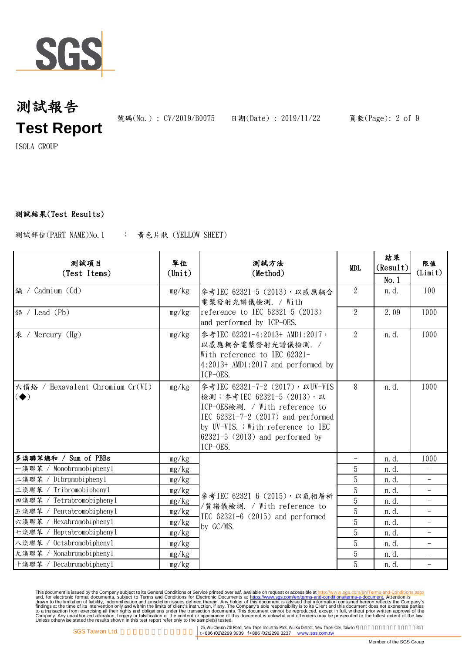

號碼(No.): CV/2019/B0075 日期(Date): 2019/11/22 頁數(Page): 2 of 9

ISOLA GROUP

## 測試結果(Test Results)

: 黃色片狀 (YELLOW SHEET) 測試部位(PART NAME)No.1

| 测試項目<br>(Test Items)                                               | 單位<br>$(\text{Unit})$ | 測試方法<br>(Method)                                                                                                                                                                                                                    | MDL                      | 結果<br>(Result)<br>No.1 | 限值<br>(Limit)            |
|--------------------------------------------------------------------|-----------------------|-------------------------------------------------------------------------------------------------------------------------------------------------------------------------------------------------------------------------------------|--------------------------|------------------------|--------------------------|
| 鎘 / Cadmium (Cd)                                                   | mg/kg                 | 參考IEC 62321-5 (2013), 以感應耦合<br>電漿發射光譜儀檢測. / With                                                                                                                                                                                    | $\overline{2}$           | n. d.                  | 100                      |
| 鉛 / Lead (Pb)                                                      | mg/kg                 | reference to IEC $62321-5$ (2013)<br>and performed by ICP-OES.                                                                                                                                                                      | $\overline{2}$           | 2.09                   | 1000                     |
| 汞 / Mercury (Hg)                                                   | mg/kg                 | 參考IEC 62321-4:2013+ AMD1:2017,<br>以感應耦合電漿發射光譜儀檢測. /<br>With reference to IEC 62321-<br>$4:2013+$ AMD1:2017 and performed by<br>ICP-OES.                                                                                             | $\overline{2}$           | n. d.                  | 1000                     |
| 六價鉻 / Hexavalent Chromium Cr(VI)<br>$\left( \blacklozenge \right)$ | mg/kg                 | 參考IEC 62321-7-2 (2017), 以UV-VIS<br>檢測;參考IEC 62321-5 (2013),以<br>ICP-OES檢測. / With reference to<br>IEC $62321 - 7 - 2$ (2017) and performed<br>by UV-VIS. ; With reference to IEC<br>$62321 - 5$ (2013) and performed by<br>ICP-OES. | 8                        | n.d.                   | 1000                     |
| 多溴聯苯總和 / Sum of PBBs                                               | mg/kg                 |                                                                                                                                                                                                                                     | $\overline{\phantom{0}}$ | n. d.                  | 1000                     |
| 一溴聯苯 / Monobromobiphenyl                                           | mg/kg                 |                                                                                                                                                                                                                                     | 5                        | n. d.                  |                          |
| Dibromobiphenyl<br>二溴聯苯 /                                          | mg/kg                 | 參考IEC 62321-6 (2015), 以氣相層析<br>/質譜儀檢測. / With reference to<br>IEC $62321-6$ $(2015)$ and performed<br>by GC/MS.                                                                                                                     | 5                        | n. d.                  | $\overline{\phantom{0}}$ |
| Tribromobiphenyl<br>三溴聯苯                                           | mg/kg                 |                                                                                                                                                                                                                                     | $\overline{5}$           | n. d.                  |                          |
| Tetrabromobiphenyl<br>四溴聯苯                                         | mg/kg                 |                                                                                                                                                                                                                                     | $\overline{5}$           | n. d.                  | $\overline{\phantom{0}}$ |
| 五溴聯苯<br>Pentabromobiphenyl                                         | mg/kg                 |                                                                                                                                                                                                                                     | 5                        | n. d.                  |                          |
| Hexabromobiphenyl<br>六溴聯苯                                          | mg/kg                 |                                                                                                                                                                                                                                     | 5                        | n. d.                  |                          |
| Heptabromobiphenyl<br>七溴聯苯                                         | mg/kg                 |                                                                                                                                                                                                                                     | 5                        | n. d.                  |                          |
| Octabromobiphenyl<br>八溴聯苯                                          | mg/kg                 |                                                                                                                                                                                                                                     | 5                        | n. d.                  | $\overline{\phantom{0}}$ |
| 九溴聯苯 / Nonabromobipheny1                                           | mg/kg                 |                                                                                                                                                                                                                                     | 5                        | n. d.                  | $\overline{\phantom{0}}$ |
| 十溴聯苯 / Decabromobipheny1                                           | mg/kg                 |                                                                                                                                                                                                                                     | 5                        | n. d.                  | $\qquad \qquad -$        |

This document is issued by the Company subject to Terms and Conditions of Service printed overleaf, available on request on electronic forms. asponsible to the Seneral Conditions for Electronic Documents at https://www.sgs

25, Wu Chyuan 7th Road, New Taipei Industrial Park, Wu Ku District, New Taipei City, Taiwan / 25<br>
1998 ft ASS (02)2299 3939 ft ASS (02)2299 3237 www.sgs.com.tw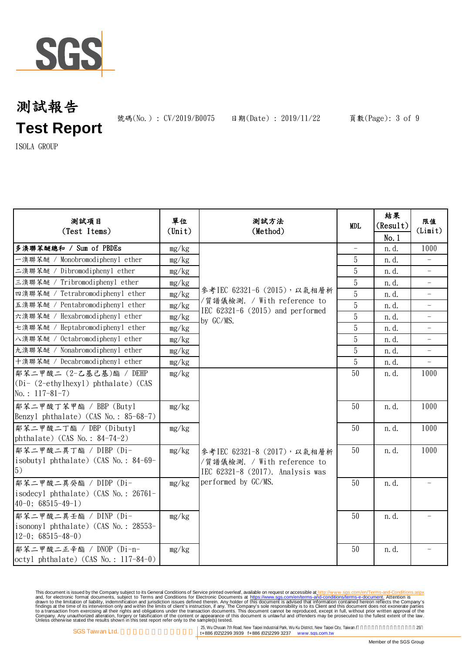

號碼(No.): CV/2019/B0075 日期(Date): 2019/11/22 頁數(Page): 3 of 9

ISOLA GROUP

| 测試項目<br>(Test Items)                                          | 單位<br>$(\text{Unit})$ | 测試方法<br>(Method)                                                                                                      | <b>MDL</b>               | 結果<br>(Result) | 限值<br>(Limit)            |
|---------------------------------------------------------------|-----------------------|-----------------------------------------------------------------------------------------------------------------------|--------------------------|----------------|--------------------------|
|                                                               |                       |                                                                                                                       |                          | No.1           |                          |
| 多溴聯苯醚總和 / Sum of PBDEs                                        | mg/kg                 |                                                                                                                       | $\overline{\phantom{a}}$ | n.d.           | 1000                     |
| 一溴聯苯醚 / Monobromodiphenyl ether                               | mg/kg                 |                                                                                                                       | 5                        | n.d.           | $\equiv$                 |
| 二溴聯苯醚 / Dibromodiphenyl ether                                 | mg/kg                 | 參考IEC 62321-6 (2015), 以氣相層析<br>/質譜儀檢測. / With reference to<br>IEC $62321-6$ $(2015)$ and performed<br>by GC/MS.       | 5                        | n.d.           |                          |
| 三溴聯苯醚 / Tribromodiphenyl ether                                | mg/kg                 |                                                                                                                       | 5                        | n. d.          | $\overline{\phantom{0}}$ |
| 四溴聯苯醚 / Tetrabromodiphenyl ether                              | mg/kg                 |                                                                                                                       | 5                        | n.d.           | $\overline{\phantom{0}}$ |
| 五溴聯苯醚 / Pentabromodiphenyl ether                              | mg/kg                 |                                                                                                                       | $\overline{5}$           | n. d.          |                          |
| 六溴聯苯醚 / Hexabromodiphenyl ether                               | mg/kg                 |                                                                                                                       | 5                        | n. d.          | $\overline{\phantom{0}}$ |
| 七溴聯苯醚 / Heptabromodiphenyl ether                              | mg/kg                 |                                                                                                                       | 5                        | n.d.           | $\overline{\phantom{0}}$ |
| 八溴聯苯醚 / Octabromodiphenyl ether                               | mg/kg                 |                                                                                                                       | 5                        | n. d.          |                          |
| 九溴聯苯醚 / Nonabromodiphenyl ether                               | mg/kg                 |                                                                                                                       | 5                        | n. d.          | $\overline{\phantom{0}}$ |
| 十溴聯苯醚 / Decabromodiphenyl ether                               | mg/kg                 |                                                                                                                       | 5                        | n. d.          | $-$                      |
| 鄰苯二甲酸二 (2-乙基己基)酯 / DEHP                                       | mg/kg                 |                                                                                                                       | 50                       | n. d.          | 1000                     |
| $(Di - (2-ethylhexyl) phthalate)$ (CAS                        |                       |                                                                                                                       |                          |                |                          |
| No.: $117-81-7$ )                                             |                       |                                                                                                                       |                          |                |                          |
| 鄰苯二甲酸丁苯甲酯 / BBP (Butyl                                        | mg/kg                 |                                                                                                                       | 50                       | n. d.          | 1000                     |
| Benzyl phthalate) (CAS No.: 85-68-7)                          |                       |                                                                                                                       |                          |                |                          |
| 鄰苯二甲酸二丁酯 / DBP (Dibutyl                                       | mg/kg                 |                                                                                                                       | 50                       | n.d.           | 1000                     |
| phthalate) (CAS No.: $84-74-2$ )                              |                       |                                                                                                                       |                          |                |                          |
| 鄰苯二甲酸二異丁酯 / DIBP (Di-                                         | mg/kg                 | 參考IEC 62321-8 (2017), 以氣相層析<br>/質譜儀檢測. / With reference to<br>IEC 62321-8 (2017). Analysis was<br>performed by GC/MS. | 50                       | n. d.          | 1000                     |
| isobutyl phthalate) (CAS No.: 84-69-<br>5)                    |                       |                                                                                                                       |                          |                |                          |
|                                                               |                       |                                                                                                                       |                          |                |                          |
| 鄰苯二甲酸二異癸酯 / DIDP (Di-<br>isodecyl phthalate) (CAS No.: 26761- | mg/kg                 |                                                                                                                       | 50                       | n.d.           |                          |
| $40-0$ ; 68515-49-1)                                          |                       |                                                                                                                       |                          |                |                          |
| 鄰苯二甲酸二異壬酯 / DINP (Di-                                         |                       |                                                                                                                       | 50                       |                |                          |
| isononyl phthalate) (CAS No.: 28553-                          | mg/kg                 |                                                                                                                       |                          | n. d.          |                          |
| $12-0$ ; 68515-48-0)                                          |                       |                                                                                                                       |                          |                |                          |
| 鄰苯二甲酸二正辛酯 / DNOP (Di-n-                                       | mg/kg                 |                                                                                                                       | 50                       | n.d.           |                          |
| octyl phthalate) (CAS No.: 117-84-0)                          |                       |                                                                                                                       |                          |                |                          |
|                                                               |                       |                                                                                                                       |                          |                |                          |

This document is issued by the Company subject to Terms and Conditions of Service printed overleaf, available on request on electronic forms. asponsible to the Seneral Conditions for Electronic Documents at https://www.sgs

25, Wu Chyuan 7th Road, New Taipei Industrial Park, Wu Ku District, New Taipei City, Taiwan / 25<br>
125, Wu Chyuan 7th Road, New Taipei Industrial Park, Wu Ku District, New Taipei City, Taiwan / 25<br>
125, Wu Chyuan 7th Road,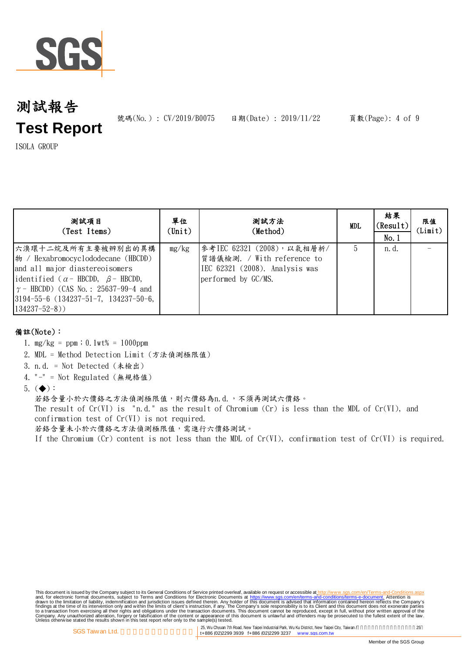

號碼(No.): CV/2019/B0075 日期(Date): 2019/11/22 頁數(Page): 4 of 9

ISOLA GROUP

| 测試項目<br>(Test Items)                                                                                                                                                                                                                                                    | 單位<br>$(\text{Unit})$ | 测試方法<br>(Method)                                                                                                  | <b>MDL</b> | 結果<br>(Result)<br>No.1 | 限值<br>(Limit) |
|-------------------------------------------------------------------------------------------------------------------------------------------------------------------------------------------------------------------------------------------------------------------------|-----------------------|-------------------------------------------------------------------------------------------------------------------|------------|------------------------|---------------|
| 六溴環十二烷及所有主要被辨別出的異構<br>$\ket{\psi}$ / Hexabromocyclododecane (HBCDD)<br>and all major diastereoisomers<br>identified ( $\alpha$ - HBCDD, $\beta$ - HBCDD,<br>$\gamma$ – HBCDD) (CAS No.: 25637-99-4 and<br>$ 3194-55-6$ (134237-51-7, 134237-50-6,<br>$134237 - 52 - 8)$ | mg/kg                 | 參考IEC 62321 (2008), 以氣相層析/<br>質譜儀檢測. / With reference to<br>IEC 62321 (2008). Analysis was<br>performed by GC/MS. | 5          | n. d.                  |               |

## 備註(Note):

- 1. mg/kg = ppm;0.1wt% = 1000ppm
- 2. MDL = Method Detection Limit (方法偵測極限值)
- 3. n.d. = Not Detected (未檢出)
- 4. "-" = Not Regulated (無規格值)
- 5.  $(\blacklozenge)$ :

若鉻含量小於六價鉻之方法偵測極限值,則六價鉻為n.d.,不須再測試六價鉻。 The result of  $Cr(VI)$  is "n.d." as the result of Chromium  $(Cr)$  is less than the MDL of  $Cr(VI)$ , and confirmation test of Cr(VI) is not required. 若鉻含量未小於六價鉻之方法偵測極限值,需進行六價鉻測試。

If the Chromium (Cr) content is not less than the MDL of Cr(VI), confirmation test of Cr(VI) is required.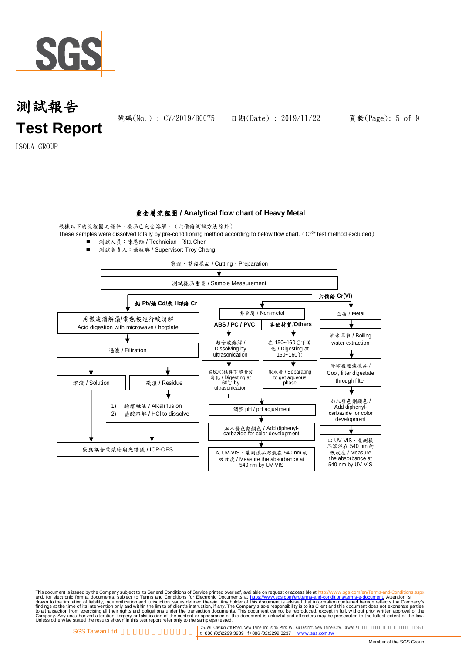

號碼(No.): CV/2019/B0075 日期(Date): 2019/11/22 頁數(Page): 5 of 9

ISOLA GROUP

### 重金屬流程圖 **/ Analytical flow chart of Heavy Metal**

根據以下的流程圖之條件,樣品已完全溶解。(六價鉻測試方法除外)





This document is issued by the Company subject to Terms and Conditions of Service printed overleaf, available on request on electronic forms. asponsible to the Seneral Conditions for Electronic Documents at https://www.sgs

25, Wu Chyuan 7th Road, New Taipei Industrial Park, Wu Ku District, New Taipei City, Taiwan /<br>14886 (02)2299 3939 f+886 (02)2299 3237 www.sgs.com.tw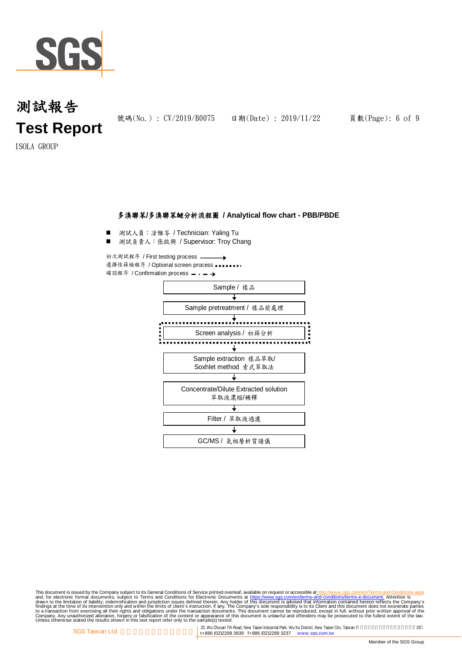

號碼(No.): CV/2019/B0075 日期(Date): 2019/11/22 頁數(Page): 6 of 9

ISOLA GROUP

### 多溴聯苯**/**多溴聯苯醚分析流程圖 **/ Analytical flow chart - PBB/PBDE**

■ 測試人員:涂雅苓 / Technician: Yaling Tu

■ 測試負責人:張啟興 / Supervisor: Troy Chang

初次測試程序 / First testing process 選擇性篩檢程序 / Optional screen process 確認程序 / Confirmation process - - - →



This document is issued by the Company subject to Terms and Conditions of Service printed overleaf, available on request on electronic forms. asponsible to the Seneral Conditions for Electronic Documents at https://www.sgs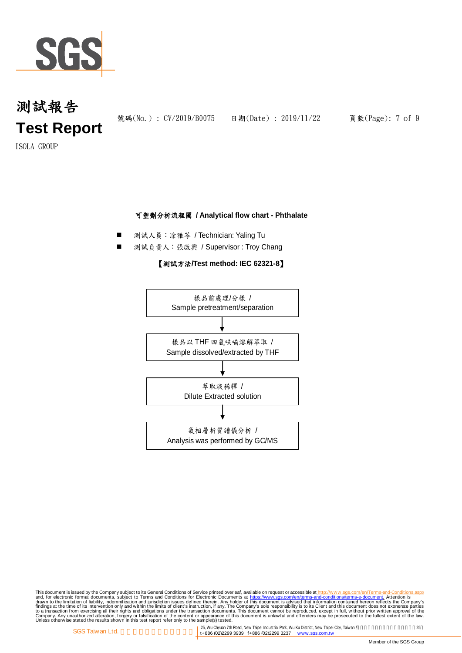

號碼(No.): CV/2019/B0075 日期(Date): 2019/11/22 頁數(Page): 7 of 9

ISOLA GROUP

## 可塑劑分析流程圖 **/ Analytical flow chart - Phthalate**

- 測試人員:涂雅苓 / Technician: Yaling Tu
- 測試負責人: 張啟興 / Supervisor : Troy Chang

### 【測試方法**/Test method: IEC 62321-8**】



This document is issued by the Company subject to Terms and Conditions of Service printed overleaf, available on request on electronic forms. asponsible to the Seneral Conditions for Electronic Documents at https://www.sgs

25, Wu Chyuan 7th Road, New Taipei Industrial Park, Wu Ku District, New Taipei City, Taiwan / 25<br>
1998 ft ASS (02)2299 3939 ft ASS (02)2299 3237 www.sgs.com.tw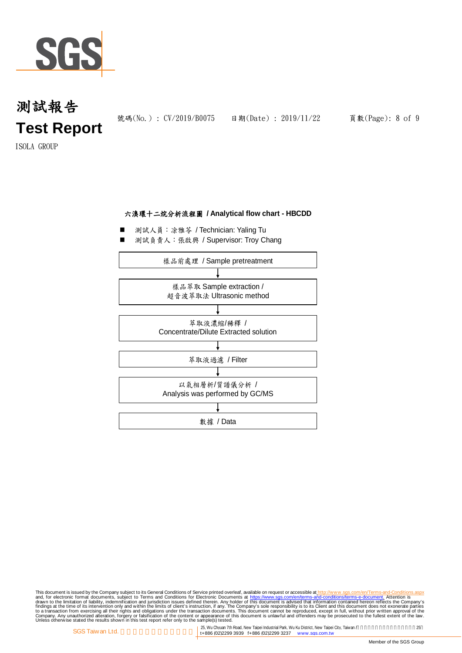

ISOLA GROUP

## 六溴環十二烷分析流程圖 **/ Analytical flow chart - HBCDD**

- 測試人員:凃雅苓 / Technician: Yaling Tu
- 測試負責人:張啟興 / Supervisor: Troy Chang



This document is issued by the Company subject to Terms and Conditions of Service printed overleaf, available on request on electronic forms. asponsible to the Seneral Conditions for Electronic Documents at https://www.sgs

25, Wu Chyuan 7th Road, New Taipei Industrial Park, Wu Ku District, New Taipei City, Taiwan / 25<br>
1998 ft ASS (02)2299 3939 ft ASS (02)2299 3237 www.sgs.com.tw